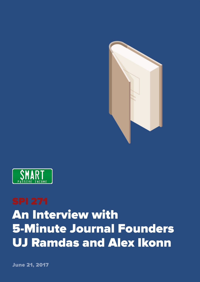



## An Interview with 5-Minute Journal Founders UJ Ramdas and Alex Ikonn

June 21, 2017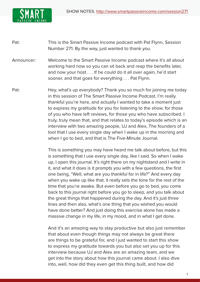

- Pat: This is the Smart Passive Income podcast with Pat Flynn, Session Number 271. By the way, just wanted to thank you.
- Announcer: Welcome to the Smart Passive Income podcast where it's all about working hard now so you can sit back and reap the benefits later, and now your host . . . If he could do it all over again, he'd start sooner, and that goes for everything . . . Pat Flynn.
- Pat: Hey, what's up everybody? Thank you so much for joining me today in this session of The Smart Passive Income Podcast. I'm really thankful you're here, and actually I wanted to take a moment just to express my gratitude for you for listening to the show, for those of you who have left reviews, for those you who have subscribed. I truly, truly mean that, and that relates to today's episode which is an interview with two amazing people, UJ and Alex, The founders of a tool that I use every single day when I wake up in the morning and when I go to bed, and that is The Five-Minute Journal.

 This is something you may have heard me talk about before, but this is something that I use every single day, like I said. So when I wake up, I open this journal. It's right there on my nightstand and I write in it, and what it does is it prompts you with a few questions, the first one being, "Well, what are you thankful for in life?" And every day when you wake up like that, it really sets the tone for the rest of the time that you're awake. But even before you go to bed, you come back to this journal right before you go to sleep, and you talk about the great things that happened during the day. And it's just three lines and then also, what's one thing that you wished you would have done better? And just doing this exercise alone has made a massive change in my life, in my mood, and in what I get done.

And it's an amazing way to stay productive but also just remember that about even though things may not always be great there are things to be grateful for, and I just wanted to start this show to express my gratitude towards you but also set you up for this interview because UJ and Alex are an amazing team, and we get into the story about how this journal came about. I also dive into, well, how did they even get this thing built, and how did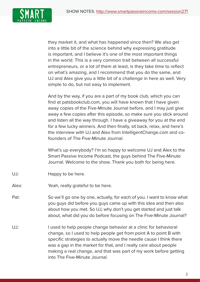

they market it, and what has happened since then? We also get into a little bit of the science behind why expressing gratitude is important, and I believe it's one of the most important things in the world. This is a very common trait between all successful entrepreneurs, or a lot of them at least, is they take time to reflect on what's amazing, and I recommend that you do the same, and UJ and Alex give you a little bit of a challenge in here as well. Very simple to do, but not easy to implement.

And by the way, if you are a part of my book club, which you can find at patsbookclub.com, you will have known that I have given away copies of the Five-Minute Journal before, and I may just give away a few copies after this episode, so make sure you stick around and listen all the way through. I have a giveaway for you at the end for a few lucky winners. And then finally, sit back, relax, and here's the interview with UJ and Alex from IntelligentChange.com and cofounders of The Five-Minute Journal.

 What's up everybody? I'm so happy to welcome UJ and Alex to the Smart Passive Income Podcast, the guys behind The Five-Minute Journal. Welcome to the show. Thank you both for being here.

- UJ: Happy to be here.
- Alex: Yeah, really grateful to be here.
- Pat: So we'll go one by one, actually, for each of you. I want to know what you guys did before you guys came up with this idea and then also about how you met. So UJ, why don't you get started and just talk about, what did you do before focusing on The Five-Minute Journal?
- UJ: I used to help people change behavior at a clinic for behavioral change, so I used to help people get from point A to point B with specific strategies to actually move the needle cause I think there was a gap in the market for that, and I really care about people making a real change, and that was part of my work before getting into The Five-Minute Journal.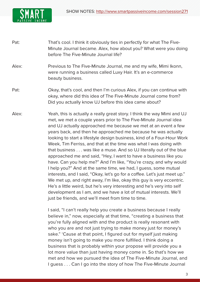

- Pat: That's cool. I think it obviously ties in perfectly for what The Five-Minute Journal became. Alex, how about you? What were you doing before The Five-Minute Journal life?
- Alex: Previous to The Five-Minute Journal, me and my wife, Mimi Ikonn, were running a business called Luxy Hair. It's an e-commerce beauty business.
- Pat: Okay, that's cool, and then I'm curious Alex, if you can continue with okay, where did this idea of The Five-Minute Journal come from? Did you actually know UJ before this idea came about?
- Alex: Yeah, this is actually a really great story. I think the way Mimi and UJ met, we met a couple years prior to The Five-Minute Journal idea and UJ actually approached me because we met at an event a few years back, and then he approached me because he was actually looking to start a lifestyle design business, kind of a Four-Hour Work Week, Tim Ferriss, and that at the time was what I was doing with that business . . . was like a muse. And so UJ literally out of the blue approached me and said, "Hey, I want to have a business like you have. Can you help me?" And I'm like, "You're crazy, and why would I help you?" And at the same time, we had, I guess, some mutual interests, and I said, "Okay, let's go for a coffee. Let's just meet up." We met up, and right away, I'm like, okay this guy is very eccentric. He's a little weird, but he's very interesting and he's very into self development as I am, and we have a lot of mutual interests. We'll just be friends, and we'll meet from time to time.

I said, "I can't really help you create a business because I really believe in," now, especially at that time, "creating a business that you're fully aligned with and the product is really resonant with who you are and not just trying to make money just for money's sake." 'Cause at that point, I figured out for myself just making money isn't going to make you more fulfilled. I think doing a business that is probably within your propose will provide you a lot more value than just having money come in. So that's how we met and how we pursued the idea of The Five-Minute Journal, and I guess . . . Can I go into the story of how The Five-Minute Journal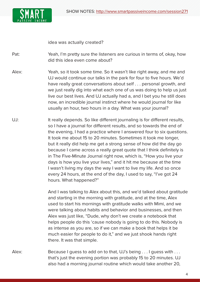

idea was actually created?

Pat: Yeah, I'm pretty sure the listeners are curious in terms of, okay, how did this idea even come about?

- Alex: Yeah, so it took some time. So it wasn't like right away, and me and UJ would continue our talks in the park for four to five hours. We'd have really great conversations about self . . . personal growth, and we just really dig into what each one of us was doing to help us just live our best lives. And UJ actually had a, and I bet you he still does now, an incredible journal instinct where he would journal for like usually an hour, two hours in a day. What was your journal?
- UJ: It really depends. So like different journaling is for different results, so I have a journal for different results, and so towards the end of the evening, I had a practice where I answered four to six questions. It took me about 15 to 20 minutes. Sometimes it took me longer, but it really did help me get a strong sense of how did the day go because I came across a really great quote that I think definitely is in The Five-Minute Journal right now, which is, "How you live your days is how you live your lives," and it hit me because at the time I wasn't living my days the way I want to live my life. And so once every 24 hours, at the end of the day, I used to say, "I've got 24 hours. What happened?"

And I was talking to Alex about this, and we'd talked about gratitude and starting in the morning with gratitude, and at the time, Alex used to start his mornings with gratitude walks with Mimi, and we were talking about habits and behavior and businesses, and then Alex was just like, "Dude, why don't we create a notebook that helps people do this 'cause nobody is going to do this. Nobody is as intense as you are, so if we can make a book that helps it be much easier for people to do it," and we just shook hands right there. It was that simple.

Alex: Because I guess to add on to that, UJ's being . . . I guess with . . . that's just the evening portion was probably 15 to 20 minutes. UJ also had a morning journal routine which would take another 20,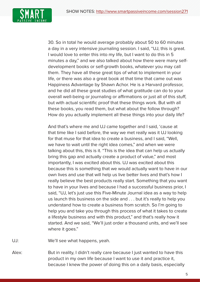

30. So in total he would average probably about 50 to 60 minutes a day in a very intensive journaling session. I said, "UJ, this is great. I would love to enter this into my life, but I want to do this in 5 minutes a day," and we also talked about how there were many selfdevelopment books or self-growth books, whatever you may call them. They have all these great tips of what to implement in your life, or there was also a great book at that time that came out was Happiness Advantage by Shawn Achor. He is a Harvard professor, and he did all these great studies of what gratitude can do to your overall well-being or journaling or affirmations or just all of this stuff, but with actual scientific proof that these things work. But with all these books, you read them, but what about the follow through? How do you actually implement all these things into your daily life?

And that's where me and UJ came together and I said, 'cause at that time like I said before, the way we met really was it UJ looking for that muse for that idea to create a business, and I said, "Well, we have to wait until the right idea comes," and when we were talking about this, this is it. "This is the idea that can help us actually bring this gap and actually create a product of value," and most importantly, I was excited about this. UJ was excited about this because this is something that we would actually want to have in our own lives and use that will help us live better lives and that's how I really believe the best products really start. Something that you want to have in your lives and because I had a successful business prior, I said, "UJ, let's just use this Five-Minute Journal idea as a way to help us launch this business on the side and . . . but it's really to help you understand how to create a business from scratch. So I'm going to help you and take you through this process of what it takes to create a lifestyle business and with this product," and that's really how it started. And we said, "We'll just order a thousand units, and we'll see where it goes."

UJ: We'll see what happens, yeah.

Alex: But in reality, I didn't really care because I just wanted to have this product in my own life because I want to use it and practice it, because I knew the power of doing this on a daily basis, especially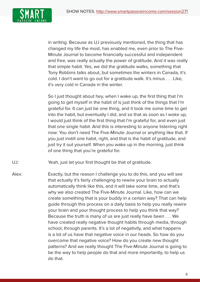

in writing. Because as UJ previously mentioned, the thing that has changed my life the most, has enabled me, even prior to The Five-Minute Journal to become financially successful and independent and free, was really actually the power of gratitude. And it was really that simple habit. Yes, we did the gratitude walks, something that Tony Robbins talks about, but sometimes the winters in Canada, it's cold. I don't want to go out for a gratitude walk. It's minus . . . Like, it's very cold in Canada in the winter.

So I just thought about hey, when I wake up, the first thing that I'm going to get myself in the habit of is just think of the things that I'm grateful for. It can just be one thing, and it took me some time to get into the habit, but eventually I did, and so that as soon as I woke up, I would just think of the first thing that I'm grateful for, and even just that one single habit. And this is interesting to anyone listening right now: You don't need The Five-Minute Journal or anything like that. If you just instill one habit, right, and that is the habit of gratitude, and just try it out yourself. When you wake up in the morning, just think of one thing that you're grateful for.

- UJ: Yeah, just let your first thought be that of gratitude.
- Alex: Exactly, but the reason I challenge you to do this, and you will see that actually it's fairly challenging to rewire your brain to actually automatically think like this, and it will take some time, and that's why we also created The Five-Minute Journal. Like, how can we create something that is your buddy in a certain way? That can help guide through this process on a daily basis to help you really rewire your brain and your thought process to help you think that way? Because the truth is many of us are just really have been . . . We have created really negative thought habits through media, through school, through parents. It's a lot of negativity, and what happens is a lot of us have that negative voice in our heads. So how do you overcome that negative voice? How do you create new thought patterns? And we really thought The Five-Minute Journal is going to be the way to help people do that and more importantly, to help us do that.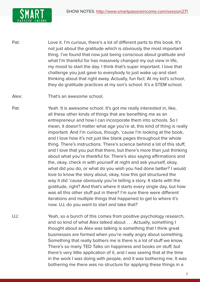

- Pat: Love it. I'm curious, there's a lot of different parts to this book. It's not just about the gratitude which is obviously the most important thing. I've found that now just being conscious about gratitude and what I'm thankful for has massively changed my out view in life, my mood to start the day. I think that's super important. I love that challenge you just gave to everybody to just wake up and start thinking about that right away. Actually, fun fact: At my kid's school, they do gratitude practices at my son's school. It's a STEM school.
- Alex: That's an awesome school.
- Pat: Yeah. It is awesome school. It's got me really interested in, like, all these other kinds of things that are benefiting me as an entrepreneur and how I can incorporate them into schools. So I mean, it doesn't matter what age you're at, this kind of thing is really important. And I'm curious, though, 'cause I'm looking at the book, and I love how it's not just like blank pages throughout the whole thing. There's instructions. There's science behind a lot of this stuff, and I love that you put that there, but there's more than just thinking about what you're thankful for. There's also saying affirmations and the, okay, check in with yourself at night and ask yourself, okay, what did you do, or what do you wish you had done better? I would love to know the story about, okay, how this got structured the way it did 'cause obviously you're telling a story. It starts with the gratitude, right? And that's where it starts every single day, but how was all this other stuff put in there? I'm sure there were different iterations and multiple things that happened to get to where it's now. UJ, do you want to start and take that?
- UJ: Yeah, so a bunch of this comes from positive psychology research, and so kind of what Alex talked about . . . Actually, something I thought about as Alex was talking is something that I think great businesses are formed when you're really angry about something. Something that really bothers me is there is a lot of stuff we know. There's so many TED Talks on happiness and books on stuff, but there's very little application of it, and I was seeing that at the time in the work I was doing with people, and it was bothering me. It was bothering me there was no structure for applying these things in a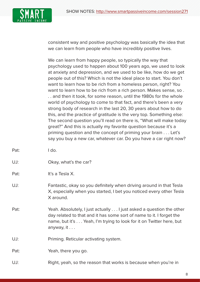

consistent way and positive psychology was basically the idea that we can learn from people who have incredibly positive lives.

 We can learn from happy people, so typically the way that psychology used to happen about 100 years ago, we used to look at anxiety and depression, and we used to be like, how do we get people out of this? Which is not the ideal place to start. You don't want to learn how to be rich from a homeless person, right? You want to learn how to be rich from a rich person. Makes sense, so . . . and then it took, for some reason, until the 1980s for the whole world of psychology to come to that fact, and there's been a very strong body of research in the last 20, 30 years about how to do this, and the practice of gratitude is the very top. Something else: The second question you'll read on there is, "What will make today great?" And this is actually my favorite question because it's a priming question and the concept of priming your brain . . . Let's say you buy a new car, whatever car. Do you have a car right now?

- Pat: I do.
- UJ: Okay, what's the car?
- Pat: It's a Tesla X.
- UJ: Fantastic, okay so you definitely when driving around in that Tesla X, especially when you started, I bet you noticed every other Tesla X around.
- Pat: Yeah. Absolutely, I just actually . . . I just asked a question the other day related to that and it has some sort of name to it. I forget the name, but it's . . . Yeah, I'm trying to look for it on Twitter here, but anyway,  $it \dots$
- UJ: Priming. Reticular activating system.

Pat: Yeah, there you go.

UJ: Right, yeah, so the reason that works is because when you're in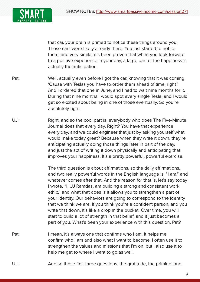

that car, your brain is primed to notice these things around you. Those cars were likely already there. You just started to notice them, and very similar it's been proven that when you look forward to a positive experience in your day, a large part of the happiness is actually the anticipation.

- Pat: Well, actually even before I got the car, knowing that it was coming. 'Cause with Teslas you have to order them ahead of time, right? And I ordered that one in June, and I had to wait nine months for it. During that nine months I would spot every single Tesla, and I would get so excited about being in one of those eventually. So you're absolutely right.
- UJ: Right, and so the cool part is, everybody who does The Five-Minute Journal does that every day. Right? You have that experience every day, and we could engineer that just by asking yourself what would make today great? Because when they write it down, they're anticipating actually doing those things later in part of the day, and just the act of writing it down physically and anticipating that improves your happiness. It's a pretty powerful, powerful exercise.

 The third question is about affirmations, so the daily affirmations, and two really powerful words in the English language is, "I am," and whatever comes after that. And the reason for that is, let's say today I wrote, "I, UJ Ramdas, am building a strong and consistent work ethic," and what that does is it allows you to strengthen a part of your identity. Our behaviors are going to correspond to the identity that we think we are. If you think you're a confident person, and you write that down, it's like a drop in the bucket. Over time, you will start to build a lot of strength in that belief, and it just becomes a part of you. What's been your experience with this question, Pat?

- Pat: I mean, it's always one that confirms who I am. It helps me confirm who I am and also what I want to become. I often use it to strengthen the values and missions that I'm on, but I also use it to help me get to where I want to go as well.
- UJ: And so those first three questions, the gratitude, the priming, and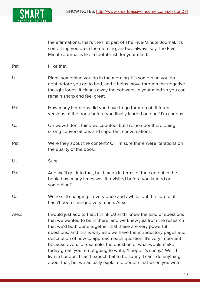

|       | the affirmations, that's the first part of The Five-Minute Journal. It's<br>something you do in the morning, and we always say The Five-<br>Minute Journal is like a toothbrush for your mind.                                                                                                                                                                                                                                                                                                                                                                                                                                        |  |  |
|-------|---------------------------------------------------------------------------------------------------------------------------------------------------------------------------------------------------------------------------------------------------------------------------------------------------------------------------------------------------------------------------------------------------------------------------------------------------------------------------------------------------------------------------------------------------------------------------------------------------------------------------------------|--|--|
| Pat:  | I like that.                                                                                                                                                                                                                                                                                                                                                                                                                                                                                                                                                                                                                          |  |  |
| UJ:   | Right, something you do in the morning. It's something you do<br>right before you go to bed, and it helps move through the negative<br>thought loops. It cleans away the cobwebs in your mind so you can<br>remain sharp and feel great.                                                                                                                                                                                                                                                                                                                                                                                              |  |  |
| Pat:  | How many iterations did you have to go through of different<br>versions of the book before you finally landed on one? I'm curious.                                                                                                                                                                                                                                                                                                                                                                                                                                                                                                    |  |  |
| UJ:   | Oh wow, I don't think we counted, but I remember there being<br>strong conversations and important conversations.                                                                                                                                                                                                                                                                                                                                                                                                                                                                                                                     |  |  |
| Pat:  | Were they about the content? Or I'm sure there were iterations on<br>the quality of the book.                                                                                                                                                                                                                                                                                                                                                                                                                                                                                                                                         |  |  |
| UJ:   | Sure.                                                                                                                                                                                                                                                                                                                                                                                                                                                                                                                                                                                                                                 |  |  |
| Pat:  | And we'll get into that, but I mean in terms of the content in the<br>book, how many times was it revisited before you landed on<br>something?                                                                                                                                                                                                                                                                                                                                                                                                                                                                                        |  |  |
| UJ:   | We're still changing it every once and awhile, but the core of it<br>hasn't been changed very much. Alex.                                                                                                                                                                                                                                                                                                                                                                                                                                                                                                                             |  |  |
| Alex: | I would just add to that: I think UJ and I knew the kind of questions<br>that we wanted to be in there, and we knew just from the research<br>that we'd both done together that these are very powerful<br>questions, and this is why also we have the introductory pages and<br>description of how to approach each question. It's very important<br>because even, for example, the question of what would make<br>today great, you're not going to write, "I hope it's sunny." Well, I<br>live in London. I can't expect that to be sunny. I can't do anything<br>about that, but we actually explain to people that when you write |  |  |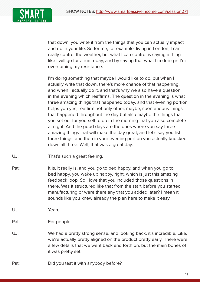

that down, you write it from the things that you can actually impact and do in your life. So for me, for example, living in London, I can't really control the weather, but what I can control is saying a thing like I will go for a run today, and by saying that what I'm doing is I'm overcoming my resistance.

I'm doing something that maybe I would like to do, but when I actually write that down, there's more chance of that happening, and when I actually do it, and that's why we also have a question in the evening which reaffirms. The question in the evening is what three amazing things that happened today, and that evening portion helps you yes, reaffirm not only other, maybe, spontaneous things that happened throughout the day but also maybe the things that you set out for yourself to do in the morning that you also complete at night. And the good days are the ones where you say three amazing things that will make the day great, and let's say you list three things, and then in your evening portion you actually knocked down all three. Well, that was a great day.

- UJ: That's such a great feeling.
- Pat: It is. It really is, and you go to bed happy, and when you go to bed happy, you wake up happy, right, which is just this amazing feedback loop. So I love that you included those questions in there. Was it structured like that from the start before you started manufacturing or were there any that you added later? I mean it sounds like you knew already the plan here to make it easy
- UJ: Yeah.
- Pat: For people.
- UJ: We had a pretty strong sense, and looking back, it's incredible. Like, we're actually pretty aligned on the product pretty early. There were a few details that we went back and forth on, but the main bones of it was pretty set.
- Pat: Did you test it with anybody before?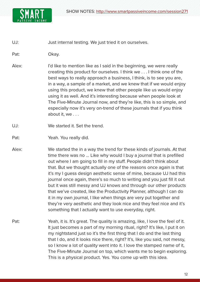

UJ: Just internal testing. We just tried it on ourselves.

Pat: Okay.

- Alex: I'd like to mention like as I said in the beginning, we were really creating this product for ourselves. I think we . . . I think one of the best ways to really approach a business, I think, is to see you are, in a way, a sample of a market, and we knew that if we would enjoy using this product, we knew that other people like us would enjoy using it as well. And it's interesting because when people look at The Five-Minute Journal now, and they're like, this is so simple, and especially now it's very on-trend of these journals that if you think about it, we . . .
- UJ: We started it. Set the trend.
- Pat: Yeah. You really did.
- Alex: We started the in a way the trend for these kinds of journals. At that time there was no ... Like why would I buy a journal that is prefilled out where I am going to fill in my stuff. People didn't think about that. But we thought actually one of the reasons once again is that it's my I guess design aesthetic sense of mine, because UJ had this journal once again, there's so much to writing and you just fill it out but it was still messy and UJ knows and through our other products that we've created, like the Productivity Planner, although I can do it in my own journal, I like when things are very put together and they're very aesthetic and they look nice and they feel nice and it's something that I actually want to use everyday, right.
- Pat: Yeah, it is. It's great. The quality is amazing, like, I love the feel of it. It just becomes a part of my morning ritual, right? It's like, I put it on my nightstand just so it's the first thing that I do and the last thing that I do, and it looks nice there, right? It's, like you said, not messy, so I know a lot of quality went into it. I love the stamped name of it, The Five-Minute Journal on top, which wants me to begin exploring. This is a physical product. Yes. You come up with this idea.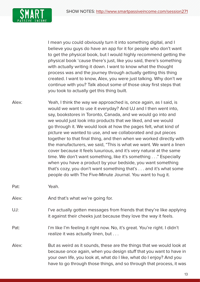SHOW NOTES: [http://www.smartpassiveincome.com/session2](http://smartpassiveincome.com/session271)71



I mean you could obviously turn it into something digital, and I believe you guys do have an app for it for people who don't want to get the physical book, but I would highly recommend getting the physical book 'cause there's just, like you said, there's something with actually writing it down. I want to know what the thought process was and the journey through actually getting this thing created. I want to know, Alex, you were just talking. Why don't we continue with you? Talk about some of those okay first steps that you took to actually get this thing built.

- Alex: Yeah, I think the way we approached is, once again, as I said, is would we want to use it everyday? And UJ and I then went into, say, bookstores in Toronto, Canada, and we would go into and we would just look into products that we liked, and we would go through it. We would look at how the pages felt, what kind of picture we wanted to use, and we collaborated and put pieces together to that final thing, and then when we worked directly with the manufacturers, we said, "This is what we want. We want a linen cover because it feels luxurious, and it's very natural at the same time. We don't want something, like it's something . . ." Especially when you have a product by your bedside, you want something that's cozy, you don't want something that's . . . and it's what some people do with The Five-Minute Journal. You want to hug it.
- Pat: Yeah.
- Alex: And that's what we're going for.
- UJ: I've actually gotten messages from friends that they're like applying it against their cheeks just because they love the way it feels.
- Pat: I'm like I'm feeling it right now. No, it's great. You're right. I didn't realize it was actually linen, but . . .
- Alex: But as weird as it sounds, these are the things that we would look at because once again, when you design stuff that you want to have in your own life, you look at, what do I like, what do I enjoy? And you have to go through those things, and so through that process, it was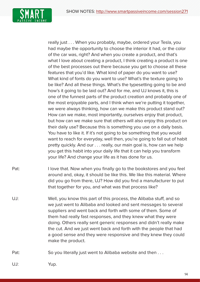

really just . . . When you probably, maybe, ordered your Tesla, you had maybe the opportunity to choose the interior it had, or the color of the car was, right? And when you create a product, and that's what I love about creating a product, I think creating a product is one of the best processes out there because you get to choose all these features that you'd like. What kind of paper do you want to use? What kind of fonts do you want to use? What's the texture going to be like? And all these things. What's the typesetting going to be and how's it going to be laid out? And for me, and UJ knows it, this is one of the funnest parts of the product creation and probably one of the most enjoyable parts, and I think when we're putting it together, we were always thinking, how can we make this product stand out? How can we make, most importantly, ourselves enjoy that product, but how can we make sure that others will also enjoy this product on their daily use? Because this is something you use on a daily basis. You have to like it. If it's not going to be something that you would want to reach for everyday, well then, you're going to fall out of habit pretty quickly. And our . . . really, our main goal is, how can we help you get this habit into your daily life that it can help you transform your life? And change your life as it has done for us.

- Pat: I love that. Now when you finally go to the bookstores and you feel around and, okay, it should be like this. We like this material. Where did you go from there, UJ? How did you find a manufacturer to put that together for you, and what was that process like?
- UJ: Well, you know this part of this process, the Alibaba stuff, and so we just went to Alibaba and looked and sent messages to several suppliers and went back and forth with some of them. Some of them had really fast responses, and they knew what they were doing. Others really sent generic responses and didn't really make the cut. And we just went back and forth with the people that had a good sense and they were responsive and they knew they could make the product.

Pat: So you literally just went to Alibaba website and then ...

UJ: Yup.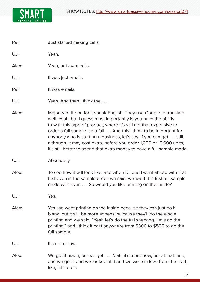

Pat: **Just started making calls.** 

UJ: Yeah.

Alex: Yeah, not even calls.

UJ: It was just emails.

Pat: It was emails.

UJ: Yeah. And then I think the ...

- Alex: Majority of them don't speak English. They use Google to translate well. Yeah, but I guess most importantly is you have the ability to with this type of product, where it's still not that expensive to order a full sample, so a full . . . And this I think to be important for anybody who is starting a business, let's say, if you can get . . . still, although, it may cost extra, before you order 1,000 or 10,000 units, it's still better to spend that extra money to have a full sample made.
- UJ: Absolutely.
- Alex: To see how it will look like, and when UJ and I went ahead with that first even in the sample order, we said, we want this first full sample made with even . . . So would you like printing on the inside?

UJ: Yes.

Alex: Yes, we want printing on the inside because they can just do it blank, but it will be more expensive 'cause they'll do the whole printing and we said, "Yeah let's do the full shebang. Let's do the printing," and I think it cost anywhere from \$300 to \$500 to do the full sample.

UJ: It's more now.

Alex: We got it made, but we got . . . Yeah, it's more now, but at that time, and we got it and we looked at it and we were in love from the start, like, let's do it.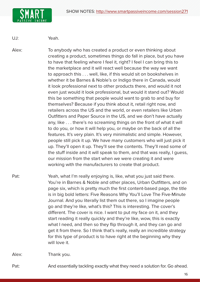

UJ: Yeah.

Alex: To anybody who has created a product or even thinking about creating a product, sometimes things do fall in place, but you have to have that feeling where I feel it, right? I feel I can bring this to the marketplace and it will react well because the way we want to approach this . . . well, like, if this would sit on bookshelves in whether it be Barnes & Noble's or Indigo there in Canada, would it look professional next to other products there, and would it not even just would it look professional, but would it stand out? Would this be something that people would want to grab to and buy for themselves? Because if you think about it, retail right now, and retailers across the US and the world, or even retailers like Urban Outfitters and Paper Source in the US, and we don't have actually any, like . . . there's no screaming things on the front of what it will to do you, or how it will help you, or maybe on the back of all the features. It's very plain. It's very minimalistic and simple. However, people still pick it up. We have many customers who will just pick it up. They'll open it up. They'll see the contents. They'll read some of the stuff inside and it will speak to them, and that was really, I guess, our mission from the start when we were creating it and were working with the manufacturers to create that product.

Pat: Yeah, what I'm really enjoying is, like, what you just said there. You're in Barnes & Noble and other places, Urban Outfitters, and on page six, which is pretty much the first content-based page, the title is in big bold letters: Five Reasons Why You'll Love The Five-Minute Journal. And you literally list them out there, so I imagine people go and they're like, what's this? This is interesting. The cover's different. The cover is nice. I want to put my face on it, and they start reading it really quickly and they're like, wow, this is exactly what I need, and then so they flip through it, and they can go and get it from there. So I think that's really, really an incredible strategy for this type of product is to have right at the beginning why they will love it.

Alex: Thank you.

Pat: And essentially tackling exactly what they need a solution for. Go ahead.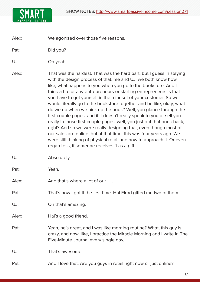

Alex: We agonized over those five reasons.

Pat: Did you?

UJ: Oh yeah.

- Alex: That was the hardest. That was the hard part, but I guess in staying with the design process of that, me and UJ, we both know how, like, what happens to you when you go to the bookstore. And I think a tip for any entrepreneurs or starting entrepreneurs is that you have to get yourself in the mindset of your customer. So we would literally go to the bookstore together and be like, okay, what do we do when we pick up the book? Well, you glance through the first couple pages, and if it doesn't really speak to you or sell you really in those first couple pages, well, you just put that book back, right? And so we were really designing that, even though most of our sales are online, but at that time, this was four years ago. We were still thinking of physical retail and how to approach it. Or even regardless, if someone receives it as a gift.
- UJ: Absolutely.
- Pat: Yeah.
- Alex: And that's where a lot of our ...
- Pat: That's how I got it the first time. Hal Elrod gifted me two of them.
- UJ: Oh that's amazing.
- Alex: Hal's a good friend.
- Pat: Yeah, he's great, and I was like morning routine? What, this guy is crazy, and now, like, I practice the Miracle Morning and I write in The Five-Minute Journal every single day.

UJ: That's awesome.

Pat: And I love that. Are you guys in retail right now or just online?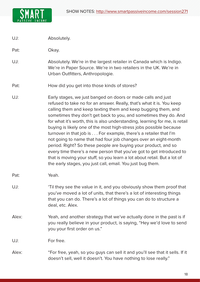

UJ: Absolutely.

Pat: Okay.

- UJ: Absolutely. We're in the largest retailer in Canada which is Indigo. We're in Paper Source. We're in two retailers in the UK. We're in Urban Outfitters, Anthropologie.
- Pat: How did you get into those kinds of stores?
- UJ: Early stages, we just banged on doors or made calls and just refused to take no for an answer. Really, that's what it is. You keep calling them and keep texting them and keep bugging them, and sometimes they don't get back to you, and sometimes they do. And for what it's worth, this is also understanding, learning for me, is retail buying is likely one of the most high-stress jobs possible because turnover in that job is . . . For example, there's a retailer that I'm not going to name that had four job changes over an eight-month period. Right? So these people are buying your product, and so every time there's a new person that you've got to get introduced to that is moving your stuff, so you learn a lot about retail. But a lot of the early stages, you just call, email. You just bug them.
- Pat: Yeah.
- UJ: 'Til they see the value in it, and you obviously show them proof that you've moved a lot of units, that there's a lot of interesting things that you can do. There's a lot of things you can do to structure a deal, etc. Alex.
- Alex: Yeah, and another strategy that we've actually done in the past is if you really believe in your product, is saying, "Hey we'd love to send you your first order on us."

UJ: For free.

Alex: "For free, yeah, so you guys can sell it and you'll see that it sells. If it doesn't sell, well it doesn't. You have nothing to lose really."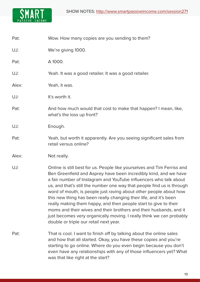

| Pat: |  |  | Wow. How many copies are you sending to them? |
|------|--|--|-----------------------------------------------|
|------|--|--|-----------------------------------------------|

UJ: We're giving 1000.

Pat: A 1000.

UJ: Yeah. It was a good retailer. It was a good retailer.

Alex: Yeah, it was.

UJ: It's worth it.

Pat: And how much would that cost to make that happen? I mean, like, what's the loss up front?

## UJ: Enough.

Pat: Yeah, but worth it apparently. Are you seeing significant sales from retail versus online?

Alex: Not really.

- UJ: Online is still best for us. People like yourselves and Tim Ferriss and Ben Greenfield and Asprey have been incredibly kind, and we have a fair number of Instagram and YouTube influencers who talk about us, and that's still the number one way that people find us is through word of mouth, is people just raving about other people about how this new thing has been really changing their life, and it's been really making them happy, and then people start to give to their moms and their wives and their brothers and their husbands, and it just becomes very organically moving. I really think we can probably double or triple our retail next year.
- Pat: That is cool. I want to finish off by talking about the online sales and how that all started. Okay, you have these copies and you're starting to go online. Where do you even begin because you don't even have any relationships with any of those influencers yet? What was that like right at the start?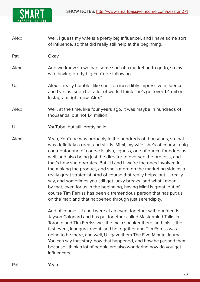

Alex: Well, I guess my wife is a pretty big influencer, and I have some sort of influence, so that did really still help at the beginning.

Pat: Okay.

- Alex: And we knew so we had some sort of a marketing to go to, so my wife having pretty big YouTube following.
- UJ: Alex is really humble, like she's an incredibly impressive influencer, and I've just seen her a lot of work. I think she's got over 1.4 mil on Instagram right now, Alex?
- Alex: Well, at the time, like four years ago, it was maybe in hundreds of thousands, but not 1.4 million.
- UJ: YouTube, but still pretty solid.
- Alex: Yeah, YouTube was probably in the hundreds of thousands, so that was definitely a great and still is. Mimi, my wife, she's of course a big contributor and of course is also, I guess, one of our co-founders as well, and also being just the director to oversee the process, and that's how she operates. But UJ and I, we're the ones involved in the making the product, and she's more on the marketing side as a really great strategist. And of course that really helps, but I'll really say, and sometimes you still get lucky breaks, and what I mean by that, even for us in the beginning, having Mimi is great, but of course Tim Ferriss has been a tremendous person that has put us on the map and that happened through just serendipity.

And of course UJ and I were at an event together with our friends Jayson Gaignard and has put together called Mastermind Talks in Toronto and Tim Ferriss was the main speaker there, and this is the first event, inaugural event, and he together and Tim Ferriss was going to be there, and well, UJ gave them The Five-Minute Journal. You can say that story, how that happened, and how he pushed them because I think a lot of people are also wondering how do you get influencers.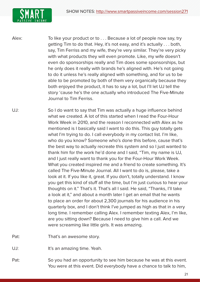

Alex: To like your product or to . . . Because a lot of people now say, try getting Tim to do that. Hey, it's not easy, and it's actually . . . both, say, Tim Ferriss and my wife, they're very similar. They're very picky with what products they will even promote. Like, my wife doesn't even do sponsorships really and Tim does some sponsorships, but he only does it really with brands he's aligned with. He's not going to do it unless he's really aligned with something, and for us to be able to be promoted by both of them very organically because they both enjoyed the product, it has to say a lot, but I'll let UJ tell the story 'cause he's the one actually who introduced The Five-Minute Journal to Tim Ferriss.

UJ: So I do want to say that Tim was actually a huge influence behind what we created. A lot of this started when I read the Four-Hour Work Week in 2010, and the reason I reconnected with Alex as he mentioned is I basically said I want to do this. This guy totally gets what I'm trying to do. I call everybody in my contact list. I'm like, who do you know? Someone who's done this before, cause that's the best way to actually recreate this system and so I just wanted to thank him for the work he'd done and I said, "Tim, my name is UJ, and I just really want to thank you for the Four-Hour Work Week. What you created inspired me and a friend to create something. It's called The Five-Minute Journal. All I want to do is, please, take a look at it. If you like it, great. If you don't, totally understand. I know you get this kind of stuff all the time, but I'm just curious to hear your thoughts on it." That's it. That's all I said. He said, "Thanks, I'll take a look at it," and about a month later I get an email that he wants to place an order for about 2,300 journals for his audience in his quarterly box, and I don't think I've jumped as high as that in a very long time. I remember calling Alex. I remember texting Alex, I'm like, are you sitting down? Because I need to give him a call. And we were screaming like little girls. It was amazing.

Pat: That's an awesome story.

UJ: It's an amazing time. Yeah.

Pat: So you had an opportunity to see him because he was at this event. You were at this event. Did everybody have a chance to talk to him,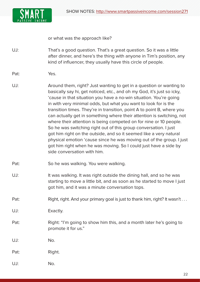

or what was the approach like?

UJ: That's a good question. That's a great question. So it was a little after dinner, and here's the thing with anyone in Tim's position, any kind of influencer, they usually have this circle of people.

- Pat: Yes.
- UJ: Around them, right? Just wanting to get in a question or wanting to basically say hi, get noticed, etc., and oh my God, it's just so icky, 'cause in that situation you have a no-win situation. You're going in with very minimal odds, but what you want to look for is the transition times. They're in transition, point A to point B, where you can actually get in something where their attention is switching, not where their attention is being competed on for nine or 10 people. So he was switching right out of this group conversation. I just got him right on the outside, and so it seemed like a very natural physical emotion 'cause since he was moving out of the group. I just got him right when he was moving. So I could just have a side by side conversation with him.
- Pat: So he was walking. You were walking.
- UJ: It was walking. It was right outside the dining hall, and so he was starting to move a little bit, and as soon as he started to move I just got him, and it was a minute conversation tops.
- Pat: Right, right. And your primary goal is just to thank him, right? It wasn't ...
- UJ: Exactly.
- Pat: Right: "I'm going to show him this, and a month later he's going to promote it for us."

UJ: No.

Pat: Right.

UJ: No.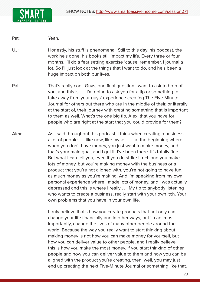

Pat: Yeah.

UJ: Honestly, his stuff is phenomenal. Still to this day, his podcast, the work he's done, his books still impact my life. Every three or four months, I'll do a fear setting exercise 'cause, remember, I journal a lot. So I'll just look at the things that I want to do, and he's been a huge impact on both our lives.

- Pat: That's really cool. Guys, one final question I want to ask to both of you, and this is . . . I'm going to ask you for a tip or something to take away from your guys' experience creating The Five-Minute Journal for others out there who are in the middle of their, or literally at the start of, their journey with creating something that is important to them as well. What's the one big tip, Alex, that you have for people who are right at the start that you could provide for them?
- Alex: As I said throughout this podcast, I think when creating a business, a lot of people . . . like now, like myself . . . at the beginning where, when you don't have money, you just want to make money, and that's your main goal, and I get it. I've been there. It's totally fine. But what I can tell you, even if you do strike it rich and you make lots of money, but you're making money with the business or a product that you're not aligned with, you're not going to have fun, as much money as you're making. And I'm speaking from my own personal experience where I made lots of money, and I was actually depressed and this is where I really . . . My tip to anybody listening who wants to create a business, really start with your own itch. Your own problems that you have in your own life.

I truly believe that's how you create products that not only can change your life financially and in other ways, but it can, most importantly, change the lives of many other people around the world. Because the way you really want to start thinking about making money is not how you can make money for yourself, but how you can deliver value to other people, and I really believe this is how you make the most money. If you start thinking of other people and how you can deliver value to them and how you can be aligned with the product you're creating, then, well, you may just end up creating the next Five-Minute Journal or something like that.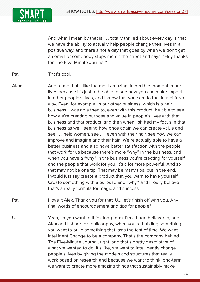

And what I mean by that is . . . totally thrilled about every day is that we have the ability to actually help people change their lives in a positive way, and there's not a day that goes by when we don't get an email or somebody stops me on the street and says, "Hey thanks for The Five-Minute Journal."

Pat: That's cool.

- Alex: And to me that's like the most amazing, incredible moment in our lives because it's just to be able to see how you can make impact in other people's lives, and I know that you can do that in a different way. Even, for example, in our other business, which is a hair business, I was able then to, even with this product, be able to see how we're creating purpose and value in people's lives with that business and that product, and then when I shifted my focus in that business as well, seeing how once again we can create value and see . . . help women, see . . . even with their hair, see how we can improve and imagine and their hair. We're actually able to have a better business and also have better satisfaction with the people that work for us because there's more "why" in the business, and when you have a "why" in the business you're creating for yourself and the people that work for you, it's a lot more powerful. And so that may not be one tip. That may be many tips, but in the end, I would just say create a product that you want to have yourself. Create something with a purpose and "why," and I really believe that's a really formula for magic and success.
- Pat: I love it Alex. Thank you for that. UJ, let's finish off with you. Any final words of encouragement and tips for people?
- UJ: Yeah, so you want to think long-term. I'm a huge believer in, and Alex and I share this philosophy, when you're building something, you want to build something that lasts the test of time. We want Intelligent Change to be a company. That's the company behind The Five-Minute Journal, right, and that's pretty descriptive of what we wanted to do. It's like, we want to intelligently change people's lives by giving the models and structures that really work based on research and because we want to think long-term, we want to create more amazing things that sustainably make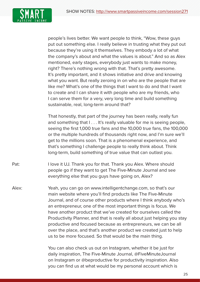

people's lives better. We want people to think, "Wow, these guys put out something else. I really believe in trusting what they put out because they're using it themselves. They embody a lot of what the company's about and what the values is about." And so as Alex mentioned, early stages, everybody just wants to make money, right? There's nothing wrong with that. That's pretty awesome. It's pretty important, and it shows initiative and drive and knowing what you want. But really zeroing in on who are the people that are like me? What's one of the things that I want to do and that I want to create and I can share it with people who are my friends, who I can serve them for a very, very long time and build something sustainable, real, long-term around that?

 That honestly, that part of the journey has been really, really fun and something that  $| \dots |$  t's really valuable for me is seeing people, seeing the first 1,000 true fans and the 10,000 true fans, the 100,000 or the multiple hundreds of thousands right now, and I'm sure we'll get to the millions soon. That is a phenomenal experience, and that's something I challenge people to really think about. Think long-term, build something of true value that can outlast you.

Pat: I love it UJ. Thank you for that. Thank you Alex. Where should people go if they want to get The Five-Minute Journal and see everything else that you guys have going on, Alex?

Alex: Yeah, you can go on www.intelligentchange.com, so that's our main website where you'll find products like The Five-Minute Journal, and of course other products where I think anybody who's an entrepreneur, one of the most important things is focus. We have another product that we've created for ourselves called the Productivity Planner, and that is really all about just helping you stay productive and focused because as entrepreneurs, we can be all over the place, and that's another product we created just to help us to be more focused. So that would be the main thing.

> You can also check us out on Instagram, whether it be just for daily inspiration, The Five-Minute Journal, @FiveMinuteJournal on Instagram or @beproductive for productivity inspiration. Also you can find us at what would be my personal account which is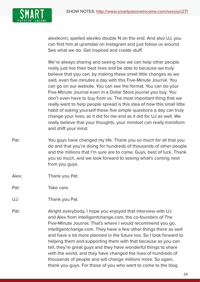

alexikonn, spelled alexiko double N on the end. And also UJ, you can find him at ujramdas on Instagram and just follow us around. See what we do. Get inspired and create stuff.

 We're always sharing and seeing how we can help other people really just live their best lives and be able to because we truly believe that you can, by making these small little changes as we said, even five minutes a day with this Five-Minute Journal. You can go on our website. You can see the format. You can do your Five-Minute Journal even in a Dollar Store journal you buy. You don't even have to buy from us. The most important thing that we really want to help people spread is this idea of how this small little habit of asking yourself these five simple questions a day can truly change your lives, as it did for me and as it did for UJ as well. We really believe that your thoughts, your mindset can really transform and shift your mind.

- Pat: You guys have changed my life. Thank you so much for all that you do and that you're doing for hundreds of thousands of other people and the millions that I'm sure are to come. Guys, best of luck. Thank you so much, and we look forward to seeing what's coming next from you guys.
- Alex: Thank you Pat.
- Pat: Take care.
- UJ: Thank you Pat.
- Pat: Alright everybody, I hope you enjoyed that interview with UJ and Alex from intelligentchange.com, the co-founders of The Five-Minute Journal. That's where I would recommend you go, intelligentchange.com. They have a few other things there as well and have a lot more planned in the future too. So I look forward to helping them and supporting them with that because as you can tell, they're great guys and they have wonderful things to share with the world, and they have changed the lives of hundreds of thousands of people and will change millions more. So again, thank you guys. For those of you who want to come to the blog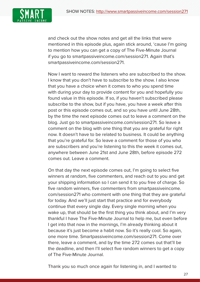

and check out the show notes and get all the links that were mentioned in this episode plus, again stick around, 'cause I'm going to mention how you can get a copy of The Five-Minute Journal if you go to smartpassiveincome.com/session271. Again that's smartpassiveincome.com/session271.

Now I want to reward the listeners who are subscribed to the show. I know that you don't have to subscribe to the show. I also know that you have a choice when it comes to who you spend time with during your day to provide content for you and hopefully you found value in this episode. If so, if you haven't subscribed please subscribe to the show, but if you have, you have a week after this post or this episode comes out, and so you have until June 28th, by the time the next episode comes out to leave a comment on the blog. Just go to smartpassiveincome.com/session271. So leave a comment on the blog with one thing that you are grateful for right now. It doesn't have to be related to business. It could be anything that you're grateful for. So leave a comment for those of you who are subscribers and you're listening to this the week it comes out, anywhere between June 21st and June 28th, before episode 272 comes out. Leave a comment.

 On that day the next episode comes out, I'm going to select five winners at random, five commenters, and reach out to you and get your shipping information so I can send it to you free of charge. So five random winners, five commenters from smartpassiveincome. com/session271 who comment with one thing that they are grateful for today. And we'll just start that practice and for everybody continue that every single day. Every single morning when you wake up, that should be the first thing you think about, and I'm very thankful I have The Five-Minute Journal to help me, but even before I get into that now in the mornings, I'm already thinking about it because it's just become a habit now. So it's really cool. So again, one more time. Smartpassiveincome.com/session271. Come over there, leave a comment, and by the time 272 comes out that'll be the deadline, and then I'll select five random winners to get a copy of The Five-Minute Journal.

Thank you so much once again for listening in, and I wanted to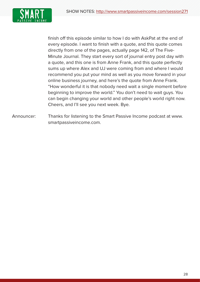

finish off this episode similar to how I do with AskPat at the end of every episode. I want to finish with a quote, and this quote comes directly from one of the pages, actually page 142, of The Five-Minute Journal. They start every sort of journal entry post day with a quote, and this one is from Anne Frank, and this quote perfectly sums up where Alex and UJ were coming from and where I would recommend you put your mind as well as you move forward in your online business journey, and here's the quote from Anne Frank. "How wonderful it is that nobody need wait a single moment before beginning to improve the world." You don't need to wait guys. You can begin changing your world and other people's world right now. Cheers, and I'll see you next week. Bye.

Announcer: Thanks for listening to the Smart Passive Income podcast at www. smartpassiveincome.com.